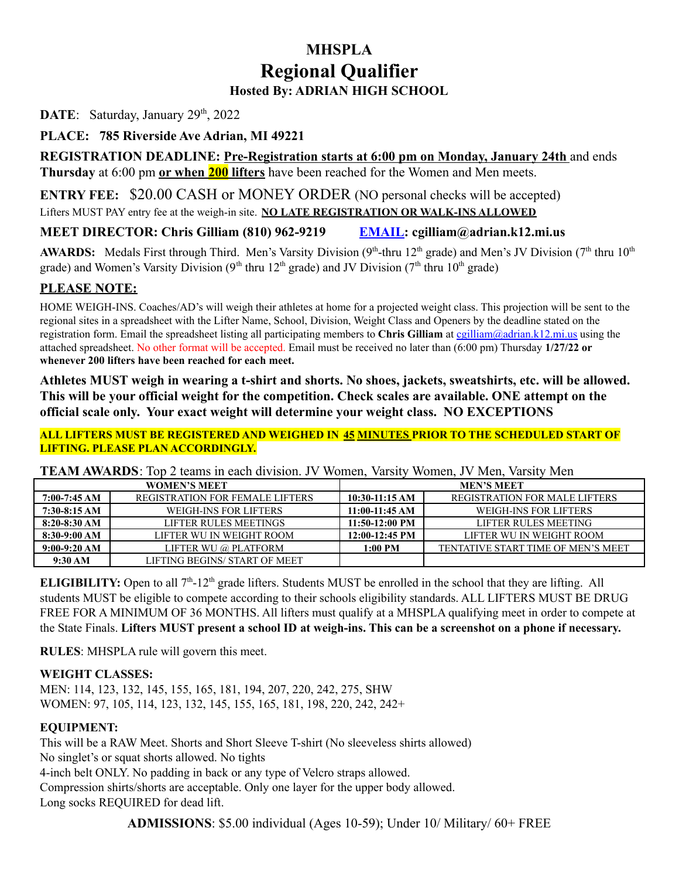### **MHSPLA Regional Qualifier Hosted By: ADRIAN HIGH SCHOOL**

DATE: Saturday, January 29<sup>th</sup>, 2022

**PLACE: 785 Riverside Ave Adrian, MI 49221**

**REGISTRATION DEADLINE: Pre-Registration starts at 6:00 pm on Monday, January 24th** and ends **Thursday** at 6:00 pm **or when 200 lifters** have been reached for the Women and Men meets.

**ENTRY FEE:** \$20.00 CASH or MONEY ORDER (NO personal checks will be accepted) Lifters MUST PAY entry fee at the weigh-in site. **NO LATE REGISTRATION OR WALK-INS ALLOWED**

#### **MEET DIRECTOR: Chris Gilliam (810) 962-9219 EMAIL: cgilliam@adrian.k12.mi.us**

AWARDS: Medals First through Third. Men's Varsity Division (9<sup>th</sup>-thru 12<sup>th</sup> grade) and Men's JV Division (7<sup>th</sup> thru 10<sup>th</sup> grade) and Women's Varsity Division (9<sup>th</sup> thru 12<sup>th</sup> grade) and JV Division (7<sup>th</sup> thru 10<sup>th</sup> grade)

#### **PLEASE NOTE:**

HOME WEIGH-INS. Coaches/AD's will weigh their athletes at home for a projected weight class. This projection will be sent to the regional sites in a spreadsheet with the Lifter Name, School, Division, Weight Class and Openers by the deadline stated on the registration form. Email the spreadsheet listing all participating members to **Chris Gilliam** at [cgilliam@adrian.k12.mi.us](mailto:cgilliam@adrian.k12.mi.us) using the attached spreadsheet. No other format will be accepted. Email must be received no later than (6:00 pm) Thursday **1/27/22 or whenever 200 lifters have been reached for each meet.**

**Athletes MUST weigh in wearing a t-shirt and shorts. No shoes, jackets, sweatshirts, etc. will be allowed. This will be your official weight for the competition. Check scales are available. ONE attempt on the official scale only. Your exact weight will determine your weight class. NO EXCEPTIONS**

**ALL LIFTERS MUST BE REGISTERED AND WEIGHED IN 45 MINUTES PRIOR TO THE SCHEDULED START OF LIFTING. PLEASE PLAN ACCORDINGLY.**

**TEAM AWARDS**: Top 2 teams in each division. JV Women, Varsity Women, JV Men, Varsity Men

| <b>WOMEN'S MEET</b> |                                        | <b>MEN'S MEET</b> |                                      |  |
|---------------------|----------------------------------------|-------------------|--------------------------------------|--|
| $7:00-7:45 AM$      | <b>REGISTRATION FOR FEMALE LIFTERS</b> | $10:30-11:15 AM$  | <b>REGISTRATION FOR MALE LIFTERS</b> |  |
| $7:30-8:15 AM$      | WEIGH-INS FOR LIFTERS                  | 11:00-11:45 AM    | WEIGH-INS FOR LIFTERS                |  |
| $8:20-8:30$ AM      | LIFTER RULES MEETINGS                  | $11:50-12:00$ PM  | LIFTER RULES MEETING                 |  |
| $8:30-9:00 AM$      | LIFTER WU IN WEIGHT ROOM               | 12:00-12:45 PM    | LIFTER WU IN WEIGHT ROOM             |  |
| $9:00-9:20$ AM      | LIFTER WU @ PLATFORM                   | 1:00 PM           | TENTATIVE START TIME OF MEN'S MEET   |  |
| 9:30 AM             | LIFTING BEGINS/ START OF MEET          |                   |                                      |  |

**ELIGIBILITY:** Open to all  $7<sup>th</sup>$ -12<sup>th</sup> grade lifters. Students MUST be enrolled in the school that they are lifting. All students MUST be eligible to compete according to their schools eligibility standards. ALL LIFTERS MUST BE DRUG FREE FOR A MINIMUM OF 36 MONTHS. All lifters must qualify at a MHSPLA qualifying meet in order to compete at the State Finals. Lifters MUST present a school ID at weigh-ins. This can be a screenshot on a phone if necessary.

**RULES**: MHSPLA rule will govern this meet.

#### **WEIGHT CLASSES:**

MEN: 114, 123, 132, 145, 155, 165, 181, 194, 207, 220, 242, 275, SHW WOMEN: 97, 105, 114, 123, 132, 145, 155, 165, 181, 198, 220, 242, 242+

#### **EQUIPMENT:**

This will be a RAW Meet. Shorts and Short Sleeve T-shirt (No sleeveless shirts allowed) No singlet's or squat shorts allowed. No tights 4-inch belt ONLY. No padding in back or any type of Velcro straps allowed. Compression shirts/shorts are acceptable. Only one layer for the upper body allowed. Long socks REQUIRED for dead lift.

**ADMISSIONS**: \$5.00 individual (Ages 10-59); Under 10/ Military/ 60+ FREE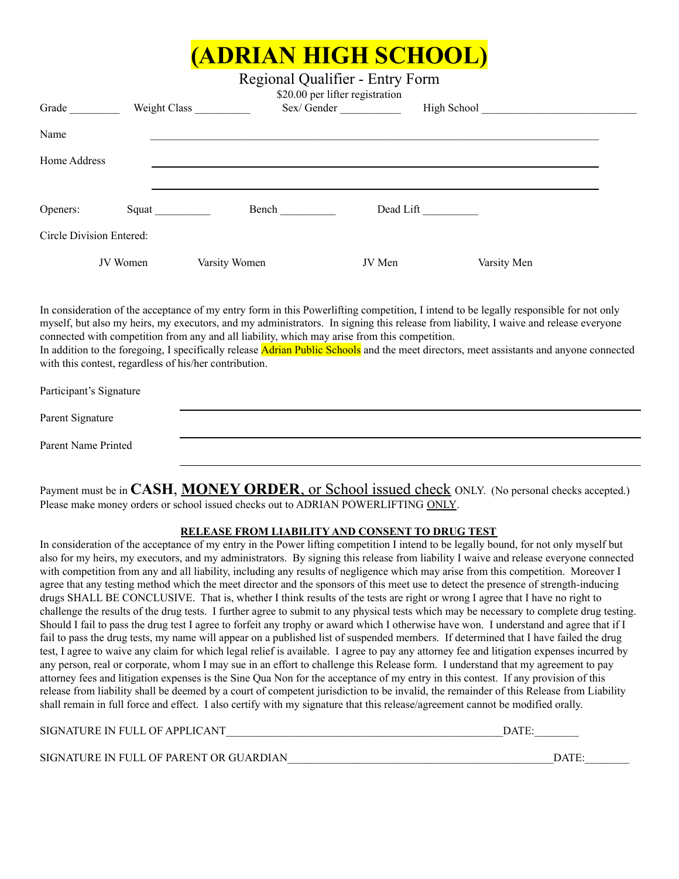## **(ADRIAN HIGH SCHOOL)**

Regional Qualifier - Entry Form

| Grade                    | Weight Class |               | \$20.00 per lifter registration<br>Sex/Gender | High School |  |
|--------------------------|--------------|---------------|-----------------------------------------------|-------------|--|
| Name                     |              |               |                                               |             |  |
| Home Address             |              |               |                                               |             |  |
| Openers:                 |              | Bench         | Dead Lift                                     |             |  |
| Circle Division Entered: |              |               |                                               |             |  |
|                          | JV Women     | Varsity Women | JV Men                                        | Varsity Men |  |

In consideration of the acceptance of my entry form in this Powerlifting competition, I intend to be legally responsible for not only myself, but also my heirs, my executors, and my administrators. In signing this release from liability, I waive and release everyone connected with competition from any and all liability, which may arise from this competition.

In addition to the foregoing, I specifically release **Adrian Public Schools** and the meet directors, meet assistants and anyone connected with this contest, regardless of his/her contribution.

| Participant's Signature |  |  |
|-------------------------|--|--|
| Parent Signature        |  |  |
| Parent Name Printed     |  |  |

Payment must be in **CASH**, **MONEY ORDER**, or School issued check ONLY. (No personal checks accepted.) Please make money orders or school issued checks out to ADRIAN POWERLIFTING ONLY.

#### **RELEASE FROM LIABILITY AND CONSENT TO DRUG TEST**

In consideration of the acceptance of my entry in the Power lifting competition I intend to be legally bound, for not only myself but also for my heirs, my executors, and my administrators. By signing this release from liability I waive and release everyone connected with competition from any and all liability, including any results of negligence which may arise from this competition. Moreover I agree that any testing method which the meet director and the sponsors of this meet use to detect the presence of strength-inducing drugs SHALL BE CONCLUSIVE. That is, whether I think results of the tests are right or wrong I agree that I have no right to challenge the results of the drug tests. I further agree to submit to any physical tests which may be necessary to complete drug testing. Should I fail to pass the drug test I agree to forfeit any trophy or award which I otherwise have won. I understand and agree that if I fail to pass the drug tests, my name will appear on a published list of suspended members. If determined that I have failed the drug test, I agree to waive any claim for which legal relief is available. I agree to pay any attorney fee and litigation expenses incurred by any person, real or corporate, whom I may sue in an effort to challenge this Release form. I understand that my agreement to pay attorney fees and litigation expenses is the Sine Qua Non for the acceptance of my entry in this contest. If any provision of this release from liability shall be deemed by a court of competent jurisdiction to be invalid, the remainder of this Release from Liability shall remain in full force and effect. I also certify with my signature that this release/agreement cannot be modified orally.

SIGNATURE IN FULL OF APPLICANT TERM IN THE SERVICE OF A SERVICE AND THE SERVICE OF A SERVICE OF A SERVICE OF A SERVICE OF A SERVICE OF A SERVICE OF A SERVICE OF A SERVICE OF A SERVICE OF A SERVICE OF A SERVICE OF A SERVICE

SIGNATURE IN FULL OF PARENT OR GUARDIAN\_\_\_\_\_\_\_\_\_\_\_\_\_\_\_\_\_\_\_\_\_\_\_\_\_\_\_\_\_\_\_\_\_\_\_\_\_\_\_\_\_\_\_\_\_\_\_\_DATE:\_\_\_\_\_\_\_\_